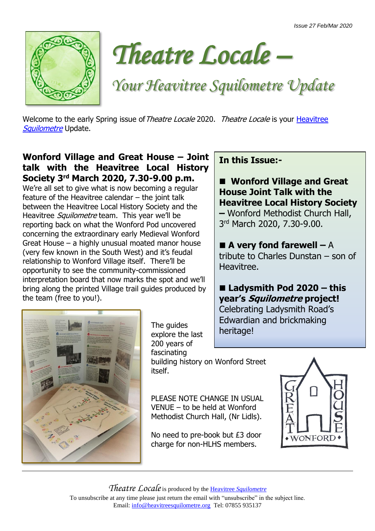



*Your Heavitree Squilometre Update*

Welcome to the early Spring issue of Theatre Locale 2020. Theatre Locale is your Heavitree [Squilometre](http://www.heavitreesquilometre.org/) Update.

## **Wonford Village and Great House – Joint talk with the Heavitree Local History Society 3rd March 2020, 7.30-9.00 p.m.**

We're all set to give what is now becoming a regular feature of the Heavitree calendar – the joint talk between the Heavitree Local History Society and the Heavitree *Squilometre* team. This year we'll be reporting back on what the Wonford Pod uncovered concerning the extraordinary early Medieval Wonford Great House – a highly unusual moated manor house (very few known in the South West) and it's feudal relationship to Wonford Village itself. There'll be opportunity to see the community-commissioned interpretation board that now marks the spot and we'll bring along the printed Village trail guides produced by the team (free to you!).



■ Wonford Village and Great **House Joint Talk with the Heavitree Local History Society –** Wonford Methodist Church Hall, 3rd March 2020, 7.30-9.00.

■ **A very fond farewell** – A tribute to Charles Dunstan – son of Heavitree.

## ■ Ladysmith Pod 2020 – this **year's Squilometre project!**

Celebrating Ladysmith Road's Edwardian and brickmaking heritage!



The guides explore the last 200 years of fascinating building history on Wonford Street itself.

PLEASE NOTE CHANGE IN USUAL

VENUE – to be held at Wonford Methodist Church Hall, (Nr Lidls).

No need to pre-book but £3 door charge for non-HLHS members.